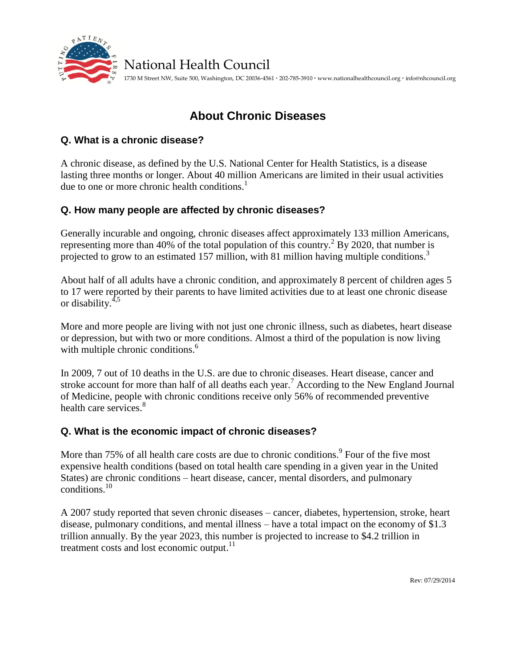

## National Health Council

1730 M Street NW, Suite 500, Washington, DC 20036-4561 **·** 202-785-3910 **·** www.nationalhealthcouncil.org **·** info@nhcouncil.org

# **About Chronic Diseases**

#### **Q. What is a chronic disease?**

A chronic disease, as defined by the U.S. National Center for Health Statistics, is a disease lasting three months or longer. About 40 million Americans are limited in their usual activities due to one or more chronic health conditions. $<sup>1</sup>$ </sup>

### **Q. How many people are affected by chronic diseases?**

Generally incurable and ongoing, chronic diseases affect approximately 133 million Americans, representing more than 40% of the total population of this country.<sup>2</sup> By 2020, that number is projected to grow to an estimated 157 million, with 81 million having multiple conditions.<sup>3</sup>

About half of all adults have a chronic condition, and approximately 8 percent of children ages 5 to 17 were reported by their parents to have limited activities due to at least one chronic disease or disability. $4,5$ 

More and more people are living with not just one chronic illness, such as diabetes, heart disease or depression, but with two or more conditions. Almost a third of the population is now living with multiple chronic conditions.<sup>6</sup>

In 2009, 7 out of 10 deaths in the U.S. are due to chronic diseases. Heart disease, cancer and stroke account for more than half of all deaths each year.<sup>7</sup> According to the New England Journal of Medicine, people with chronic conditions receive only 56% of recommended preventive health care services.<sup>8</sup>

### **Q. What is the economic impact of chronic diseases?**

More than 75% of all health care costs are due to chronic conditions.  $9^{\circ}$  Four of the five most expensive health conditions (based on total health care spending in a given year in the United States) are chronic conditions – heart disease, cancer, mental disorders, and pulmonary conditions. 10

A 2007 study reported that seven chronic diseases – cancer, diabetes, hypertension, stroke, heart disease, pulmonary conditions, and mental illness – have a total impact on the economy of \$1.3 trillion annually. By the year 2023, this number is projected to increase to \$4.2 trillion in treatment costs and lost economic output. $11$